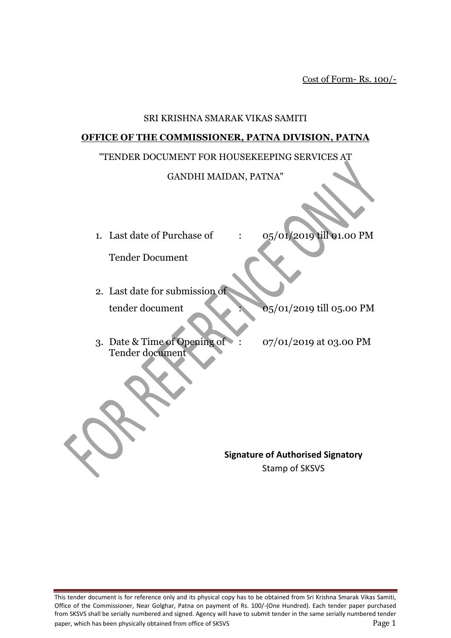Cost of Form- Rs. 100/-

#### SRI KRISHNA SMARAK VIKAS SAMITI

#### **OFFICE OF THE COMMISSIONER, PATNA DIVISION, PATNA**

#### "TENDER DOCUMENT FOR HOUSEKEEPING SERVICES AT

#### GANDHI MAIDAN, PATNA"

- 
- 1. Last date of Purchase of :  $0.5/01/2019$  till 01.00 PM

Tender Document

- 2. Last date for submission of tender document : 05/01/2019 till 05.00 PM
- 3. Date & Time of Opening of : 07/01/2019 at 03.00 PM Tender document

**Signature of Authorised Signatory** Stamp of SKSVS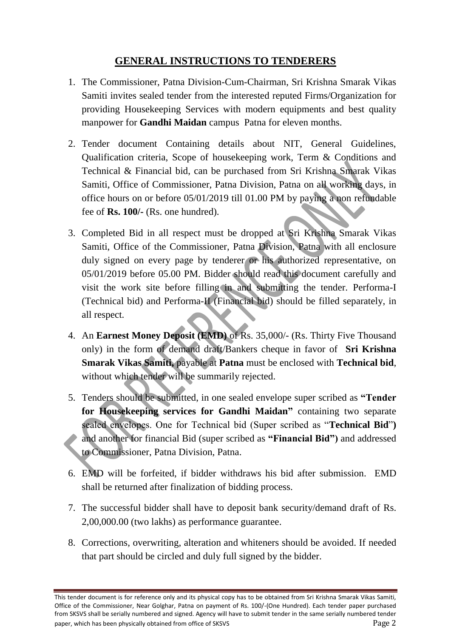# **GENERAL INSTRUCTIONS TO TENDERERS**

- 1. The Commissioner, Patna Division-Cum-Chairman, Sri Krishna Smarak Vikas Samiti invites sealed tender from the interested reputed Firms/Organization for providing Housekeeping Services with modern equipments and best quality manpower for **Gandhi Maidan** campus Patna for eleven months.
- 2. Tender document Containing details about NIT, General Guidelines, Qualification criteria, Scope of housekeeping work, Term & Conditions and Technical & Financial bid, can be purchased from Sri Krishna Smarak Vikas Samiti, Office of Commissioner, Patna Division, Patna on all working days, in office hours on or before 05/01/2019 till 01.00 PM by paying a non refundable fee of **Rs. 100/-** (Rs. one hundred).
- 3. Completed Bid in all respect must be dropped at Sri Krishna Smarak Vikas Samiti, Office of the Commissioner, Patna Division, Patna with all enclosure duly signed on every page by tenderer or his authorized representative, on 05/01/2019 before 05.00 PM. Bidder should read this document carefully and visit the work site before filling in and submitting the tender. Performa-I (Technical bid) and Performa-II (Financial bid) should be filled separately, in all respect.
- 4. An **Earnest Money Deposit (EMD)** of Rs. 35,000/- (Rs. Thirty Five Thousand only) in the form of demand draft/Bankers cheque in favor of **Sri Krishna Smarak Vikas Samiti,** payable at **Patna** must be enclosed with **Technical bid**, without which tender will be summarily rejected.
- 5. Tenders should be submitted, in one sealed envelope super scribed as **"Tender for Housekeeping services for Gandhi Maidan"** containing two separate sealed envelopes. One for Technical bid (Super scribed as "**Technical Bid**"**)**  and another for financial Bid (super scribed as **"Financial Bid")** and addressed to Commissioner, Patna Division, Patna.
- 6. EMD will be forfeited, if bidder withdraws his bid after submission. EMD shall be returned after finalization of bidding process.
- 7. The successful bidder shall have to deposit bank security/demand draft of Rs. 2,00,000.00 (two lakhs) as performance guarantee.
- 8. Corrections, overwriting, alteration and whiteners should be avoided. If needed that part should be circled and duly full signed by the bidder.

This tender document is for reference only and its physical copy has to be obtained from Sri Krishna Smarak Vikas Samiti, Office of the Commissioner, Near Golghar, Patna on payment of Rs. 100/-(One Hundred). Each tender paper purchased from SKSVS shall be serially numbered and signed. Agency will have to submit tender in the same serially numbered tender paper, which has been physically obtained from office of SKSVS Page 2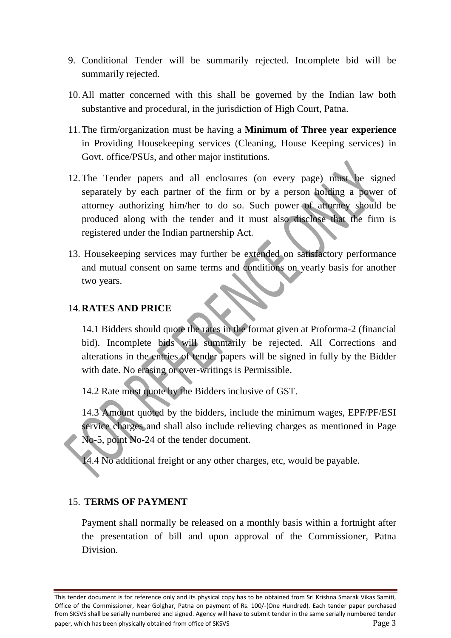- 9. Conditional Tender will be summarily rejected. Incomplete bid will be summarily rejected.
- 10.All matter concerned with this shall be governed by the Indian law both substantive and procedural, in the jurisdiction of High Court, Patna.
- 11.The firm/organization must be having a **Minimum of Three year experience** in Providing Housekeeping services (Cleaning, House Keeping services) in Govt. office/PSUs, and other major institutions.
- 12.The Tender papers and all enclosures (on every page) must be signed separately by each partner of the firm or by a person holding a power of attorney authorizing him/her to do so. Such power of attorney should be produced along with the tender and it must also disclose that the firm is registered under the Indian partnership Act.
- 13. Housekeeping services may further be extended on satisfactory performance and mutual consent on same terms and conditions on yearly basis for another two years.

#### 14.**RATES AND PRICE**

14.1 Bidders should quote the rates in the format given at Proforma-2 (financial bid). Incomplete bids will summarily be rejected. All Corrections and alterations in the entries of tender papers will be signed in fully by the Bidder with date. No erasing or over-writings is Permissible.

14.2 Rate must quote by the Bidders inclusive of GST.

14.3 Amount quoted by the bidders, include the minimum wages, EPF/PF/ESI service charges and shall also include relieving charges as mentioned in Page No-5, point No-24 of the tender document.

14.4 No additional freight or any other charges, etc, would be payable.

#### 15. **TERMS OF PAYMENT**

Payment shall normally be released on a monthly basis within a fortnight after the presentation of bill and upon approval of the Commissioner, Patna Division.

This tender document is for reference only and its physical copy has to be obtained from Sri Krishna Smarak Vikas Samiti, Office of the Commissioner, Near Golghar, Patna on payment of Rs. 100/-(One Hundred). Each tender paper purchased from SKSVS shall be serially numbered and signed. Agency will have to submit tender in the same serially numbered tender paper, which has been physically obtained from office of SKSVS From Page 3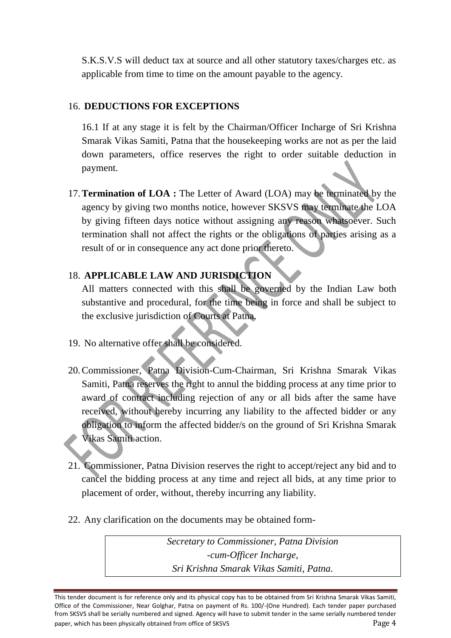S.K.S.V.S will deduct tax at source and all other statutory taxes/charges etc. as applicable from time to time on the amount payable to the agency.

#### 16. **DEDUCTIONS FOR EXCEPTIONS**

16.1 If at any stage it is felt by the Chairman/Officer Incharge of Sri Krishna Smarak Vikas Samiti, Patna that the housekeeping works are not as per the laid down parameters, office reserves the right to order suitable deduction in payment.

17.**Termination of LOA :** The Letter of Award (LOA) may be terminated by the agency by giving two months notice, however SKSVS may terminate the LOA by giving fifteen days notice without assigning any reason whatsoever. Such termination shall not affect the rights or the obligations of parties arising as a result of or in consequence any act done prior thereto.

## 18. **APPLICABLE LAW AND JURISDICTION**

All matters connected with this shall be governed by the Indian Law both substantive and procedural, for the time being in force and shall be subject to the exclusive jurisdiction of Courts at Patna.

- 19. No alternative offer shall be considered.
- 20.Commissioner, Patna Division-Cum-Chairman, Sri Krishna Smarak Vikas Samiti, Patna reserves the right to annul the bidding process at any time prior to award of contract including rejection of any or all bids after the same have received, without hereby incurring any liability to the affected bidder or any obligation to inform the affected bidder/s on the ground of Sri Krishna Smarak Vikas Samiti action.
- 21. Commissioner, Patna Division reserves the right to accept/reject any bid and to cancel the bidding process at any time and reject all bids, at any time prior to placement of order, without, thereby incurring any liability.
- 22. Any clarification on the documents may be obtained form-

*Secretary to Commissioner, Patna Division -cum-Officer Incharge, Sri Krishna Smarak Vikas Samiti, Patna.*

This tender document is for reference only and its physical copy has to be obtained from Sri Krishna Smarak Vikas Samiti, Office of the Commissioner, Near Golghar, Patna on payment of Rs. 100/-(One Hundred). Each tender paper purchased from SKSVS shall be serially numbered and signed. Agency will have to submit tender in the same serially numbered tender paper, which has been physically obtained from office of SKSVS Page 4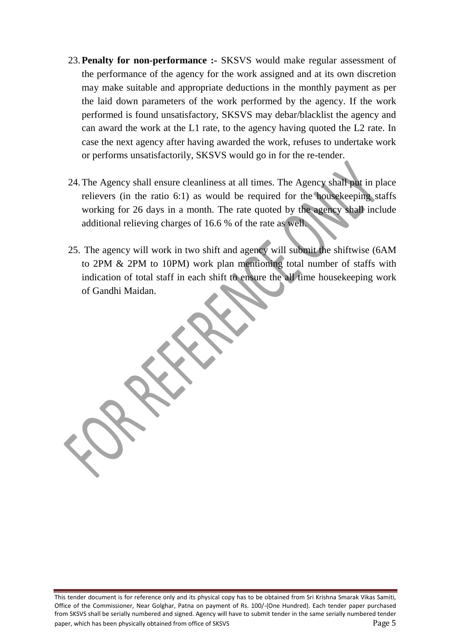- 23.**Penalty for non-performance :-** SKSVS would make regular assessment of the performance of the agency for the work assigned and at its own discretion may make suitable and appropriate deductions in the monthly payment as per the laid down parameters of the work performed by the agency. If the work performed is found unsatisfactory, SKSVS may debar/blacklist the agency and can award the work at the L1 rate, to the agency having quoted the L2 rate. In case the next agency after having awarded the work, refuses to undertake work or performs unsatisfactorily, SKSVS would go in for the re-tender.
- 24.The Agency shall ensure cleanliness at all times. The Agency shall put in place relievers (in the ratio 6:1) as would be required for the housekeeping staffs working for 26 days in a month. The rate quoted by the agency shall include additional relieving charges of 16.6 % of the rate as well.
- 25. The agency will work in two shift and agency will submit the shiftwise (6AM to 2PM & 2PM to 10PM) work plan mentioning total number of staffs with indication of total staff in each shift to ensure the all time housekeeping work of Gandhi Maidan.

This tender document is for reference only and its physical copy has to be obtained from Sri Krishna Smarak Vikas Samiti, Office of the Commissioner, Near Golghar, Patna on payment of Rs. 100/-(One Hundred). Each tender paper purchased from SKSVS shall be serially numbered and signed. Agency will have to submit tender in the same serially numbered tender paper, which has been physically obtained from office of SKSVS From the state of  $\frac{1}{2}$  page 5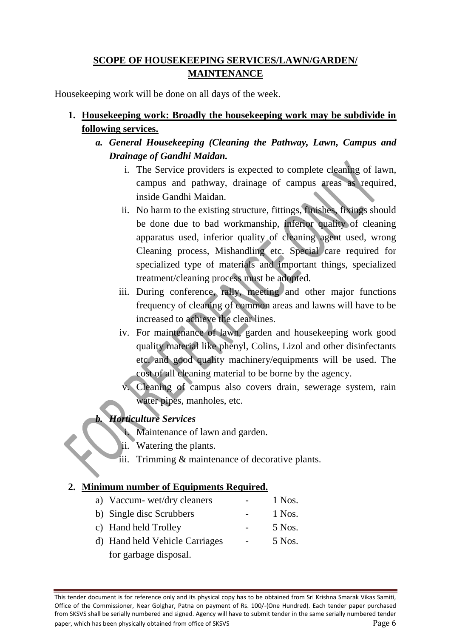# **SCOPE OF HOUSEKEEPING SERVICES/LAWN/GARDEN/ MAINTENANCE**

Housekeeping work will be done on all days of the week.

- **1. Housekeeping work: Broadly the housekeeping work may be subdivide in following services.**
	- *a. General Housekeeping (Cleaning the Pathway, Lawn, Campus and Drainage of Gandhi Maidan.*
		- i. The Service providers is expected to complete cleaning of lawn, campus and pathway, drainage of campus areas as required, inside Gandhi Maidan.
		- ii. No harm to the existing structure, fittings, finishes, fixings should be done due to bad workmanship, inferior quality of cleaning apparatus used, inferior quality of cleaning agent used, wrong Cleaning process, Mishandling etc. Special care required for specialized type of materials and important things, specialized treatment/cleaning process must be adopted.
		- iii. During conference, rally, meeting and other major functions frequency of cleaning of common areas and lawns will have to be increased to achieve the clear lines.
		- iv. For maintenance of lawn, garden and housekeeping work good quality material like phenyl, Colins, Lizol and other disinfectants etc. and good quality machinery/equipments will be used. The cost of all cleaning material to be borne by the agency.
			- Cleaning of campus also covers drain, sewerage system, rain water pipes, manholes, etc.

## *b. Horticulture Services*

- i. Maintenance of lawn and garden.
- ii. Watering the plants.
- iii. Trimming & maintenance of decorative plants.

## **2. Minimum number of Equipments Required.**

- a) Vaccum- wet/dry cleaners 1 Nos. b) Single disc Scrubbers - 1 Nos. c) Hand held Trolley - 5 Nos.
- d) Hand held Vehicle Carriages 5 Nos. for garbage disposal.

This tender document is for reference only and its physical copy has to be obtained from Sri Krishna Smarak Vikas Samiti, Office of the Commissioner, Near Golghar, Patna on payment of Rs. 100/-(One Hundred). Each tender paper purchased from SKSVS shall be serially numbered and signed. Agency will have to submit tender in the same serially numbered tender paper, which has been physically obtained from office of SKSVS Page 6 and the state of  $\Box$  Page 6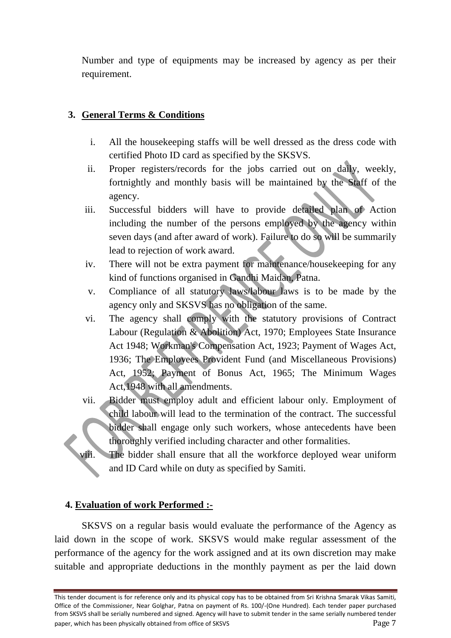Number and type of equipments may be increased by agency as per their requirement.

## **3. General Terms & Conditions**

- i. All the housekeeping staffs will be well dressed as the dress code with certified Photo ID card as specified by the SKSVS.
- ii. Proper registers/records for the jobs carried out on daily, weekly, fortnightly and monthly basis will be maintained by the Staff of the agency.
- iii. Successful bidders will have to provide detailed plan of Action including the number of the persons employed by the agency within seven days (and after award of work). Failure to do so will be summarily lead to rejection of work award.
- iv. There will not be extra payment for maintenance/housekeeping for any kind of functions organised in Gandhi Maidan, Patna.
- v. Compliance of all statutory laws/labour laws is to be made by the agency only and SKSVS has no obligation of the same.
- vi. The agency shall comply with the statutory provisions of Contract Labour (Regulation & Abolition) Act, 1970; Employees State Insurance Act 1948; Workman's Compensation Act, 1923; Payment of Wages Act, 1936; The Employees Provident Fund (and Miscellaneous Provisions) Act, 1952; Payment of Bonus Act, 1965; The Minimum Wages Act,1948 with all amendments.
- vii. Bidder must employ adult and efficient labour only. Employment of child labour will lead to the termination of the contract. The successful bidder shall engage only such workers, whose antecedents have been thoroughly verified including character and other formalities.
- viii. The bidder shall ensure that all the workforce deployed wear uniform and ID Card while on duty as specified by Samiti.

## **4. Evaluation of work Performed :-**

SKSVS on a regular basis would evaluate the performance of the Agency as laid down in the scope of work. SKSVS would make regular assessment of the performance of the agency for the work assigned and at its own discretion may make suitable and appropriate deductions in the monthly payment as per the laid down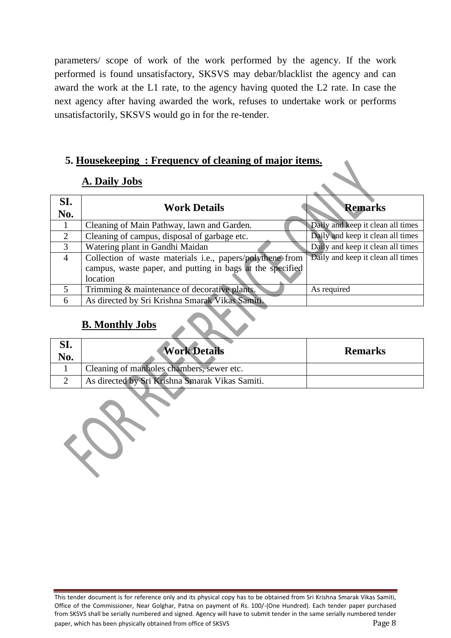parameters/ scope of work of the work performed by the agency. If the work performed is found unsatisfactory, SKSVS may debar/blacklist the agency and can award the work at the L1 rate, to the agency having quoted the L2 rate. In case the next agency after having awarded the work, refuses to undertake work or performs unsatisfactorily, SKSVS would go in for the re-tender.

## **5. Housekeeping : Frequency of cleaning of major items.**

## **A. Daily Jobs**

| SI.<br>No.     | <b>Work Details</b>                                       | <b>Remarks</b>                    |
|----------------|-----------------------------------------------------------|-----------------------------------|
|                | Cleaning of Main Pathway, lawn and Garden.                | Daily and keep it clean all times |
| 2              | Cleaning of campus, disposal of garbage etc.              | Daily and keep it clean all times |
| 3              | Watering plant in Gandhi Maidan                           | Daily and keep it clean all times |
| $\overline{4}$ | Collection of waste materials i.e., papers/polythene from | Daily and keep it clean all times |
|                | campus, waste paper, and putting in bags at the specified |                                   |
|                | location                                                  |                                   |
| 5              | Trimming & maintenance of decorative plants.              | As required                       |
| 6              | As directed by Sri Krishna Smarak Vikas Samiti.           |                                   |

## **B. Monthly Jobs**

| ol.<br>No. | <b>Work Details</b>                             | <b>Remarks</b> |
|------------|-------------------------------------------------|----------------|
|            | Cleaning of manholes chambers, sewer etc.       |                |
|            | As directed by Sri Krishna Smarak Vikas Samiti. |                |

This tender document is for reference only and its physical copy has to be obtained from Sri Krishna Smarak Vikas Samiti, Office of the Commissioner, Near Golghar, Patna on payment of Rs. 100/-(One Hundred). Each tender paper purchased from SKSVS shall be serially numbered and signed. Agency will have to submit tender in the same serially numbered tender paper, which has been physically obtained from office of SKSVS Page 8 and the state of  $\Box$  Page 8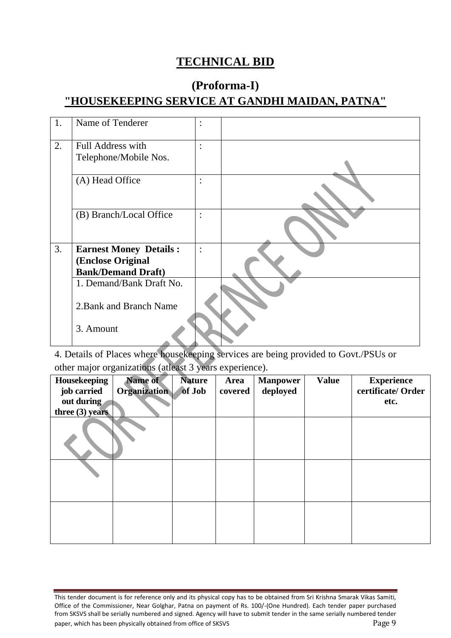# **TECHNICAL BID**

# **(Proforma-I) "HOUSEKEEPING SERVICE AT GANDHI MAIDAN, PATNA"**

| 1. | Name of Tenderer              | $\bullet$<br>$\ddot{\phantom{0}}$ |  |
|----|-------------------------------|-----------------------------------|--|
| 2. | <b>Full Address with</b>      | $\ddot{\cdot}$                    |  |
|    | Telephone/Mobile Nos.         |                                   |  |
|    | (A) Head Office               | $\ddot{\cdot}$                    |  |
|    | (B) Branch/Local Office       | $\ddot{\cdot}$                    |  |
| 3. | <b>Earnest Money Details:</b> | $\ddot{\cdot}$                    |  |
|    | (Enclose Original             |                                   |  |
|    | <b>Bank/Demand Draft)</b>     |                                   |  |
|    | 1. Demand/Bank Draft No.      |                                   |  |
|    | 2. Bank and Branch Name       |                                   |  |
|    | 3. Amount                     |                                   |  |

4. Details of Places where housekeeping services are being provided to Govt./PSUs or other major organizations (atleast 3 years experience).

| Housekeeping<br>job carried<br>out during | Name of<br><b>Organization</b> | <b>Nature</b><br>of Job | <b>Area</b><br>covered | <b>Manpower</b><br>deployed | <b>Value</b> | <b>Experience</b><br>certificate/ Order<br>etc. |
|-------------------------------------------|--------------------------------|-------------------------|------------------------|-----------------------------|--------------|-------------------------------------------------|
| three $(3)$ years                         |                                |                         |                        |                             |              |                                                 |
|                                           |                                |                         |                        |                             |              |                                                 |
|                                           |                                |                         |                        |                             |              |                                                 |

This tender document is for reference only and its physical copy has to be obtained from Sri Krishna Smarak Vikas Samiti, Office of the Commissioner, Near Golghar, Patna on payment of Rs. 100/-(One Hundred). Each tender paper purchased from SKSVS shall be serially numbered and signed. Agency will have to submit tender in the same serially numbered tender paper, which has been physically obtained from office of SKSVS Page 9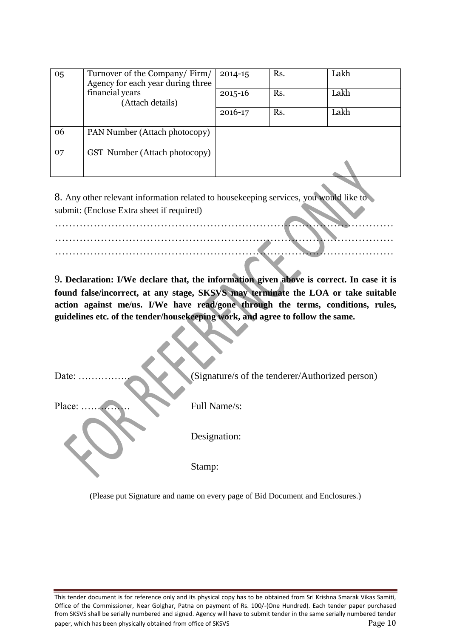| 05 | Turnover of the Company/Firm/<br>Agency for each year during three | $2014 - 15$ | Rs. | Lakh |
|----|--------------------------------------------------------------------|-------------|-----|------|
|    | financial years<br>(Attach details)                                | $2015 - 16$ | Rs. | Lakh |
|    |                                                                    | 2016-17     | Rs. | Lakh |
| 06 | PAN Number (Attach photocopy)                                      |             |     |      |
| 07 | GST Number (Attach photocopy)                                      |             |     |      |
|    |                                                                    |             |     |      |

8. Any other relevant information related to housekeeping services, you would like to submit: (Enclose Extra sheet if required)

……………………………………………………………………………………

…………………………………………………………………………………… ……………………………………………………………………………………

9**. Declaration: I/We declare that, the information given above is correct. In case it is found false/incorrect, at any stage, SKSVS may terminate the LOA or take suitable action against me/us. I/We have read/gone through the terms, conditions, rules, guidelines etc. of the tender/housekeeping work, and agree to follow the same.**

| Date:  | (Signature/s of the tenderer/Authorized person) |
|--------|-------------------------------------------------|
| Place: | Full Name/s:                                    |
|        | Designation:                                    |
|        | Stamp:                                          |

(Please put Signature and name on every page of Bid Document and Enclosures.)

This tender document is for reference only and its physical copy has to be obtained from Sri Krishna Smarak Vikas Samiti, Office of the Commissioner, Near Golghar, Patna on payment of Rs. 100/-(One Hundred). Each tender paper purchased from SKSVS shall be serially numbered and signed. Agency will have to submit tender in the same serially numbered tender paper, which has been physically obtained from office of SKSVS Page 10